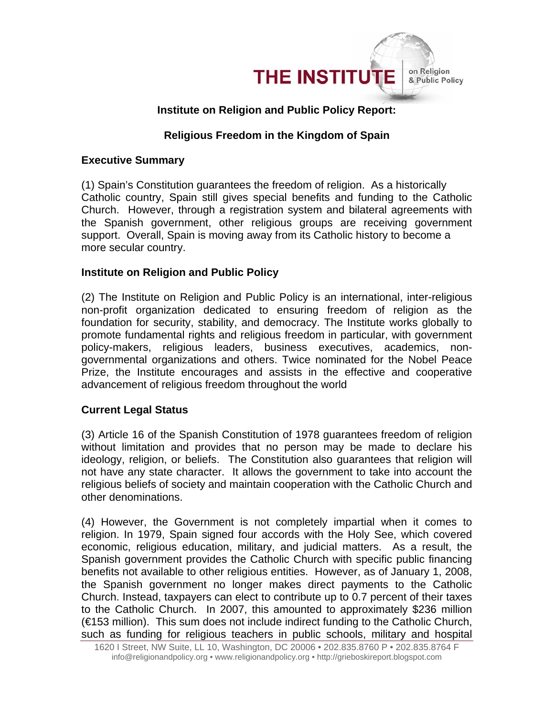

# **Institute on Religion and Public Policy Report:**

### **Religious Freedom in the Kingdom of Spain**

#### **Executive Summary**

(1) Spain's Constitution guarantees the freedom of religion. As a historically Catholic country, Spain still gives special benefits and funding to the Catholic Church. However, through a registration system and bilateral agreements with the Spanish government, other religious groups are receiving government support. Overall, Spain is moving away from its Catholic history to become a more secular country.

#### **Institute on Religion and Public Policy**

(2) The Institute on Religion and Public Policy is an international, inter-religious non-profit organization dedicated to ensuring freedom of religion as the foundation for security, stability, and democracy. The Institute works globally to promote fundamental rights and religious freedom in particular, with government policy-makers, religious leaders, business executives, academics, nongovernmental organizations and others. Twice nominated for the Nobel Peace Prize, the Institute encourages and assists in the effective and cooperative advancement of religious freedom throughout the world

### **Current Legal Status**

(3) Article 16 of the Spanish Constitution of 1978 guarantees freedom of religion without limitation and provides that no person may be made to declare his ideology, religion, or beliefs. The Constitution also guarantees that religion will not have any state character. It allows the government to take into account the religious beliefs of society and maintain cooperation with the Catholic Church and other denominations.

(4) However, the Government is not completely impartial when it comes to religion. In 1979, Spain signed four accords with the Holy See, which covered economic, religious education, military, and judicial matters. As a result, the Spanish government provides the Catholic Church with specific public financing benefits not available to other religious entities. However, as of January 1, 2008, the Spanish government no longer makes direct payments to the Catholic Church. Instead, taxpayers can elect to contribute up to 0.7 percent of their taxes to the Catholic Church. In 2007, this amounted to approximately \$236 million (€153 million). This sum does not include indirect funding to the Catholic Church, such as funding for religious teachers in public schools, military and hospital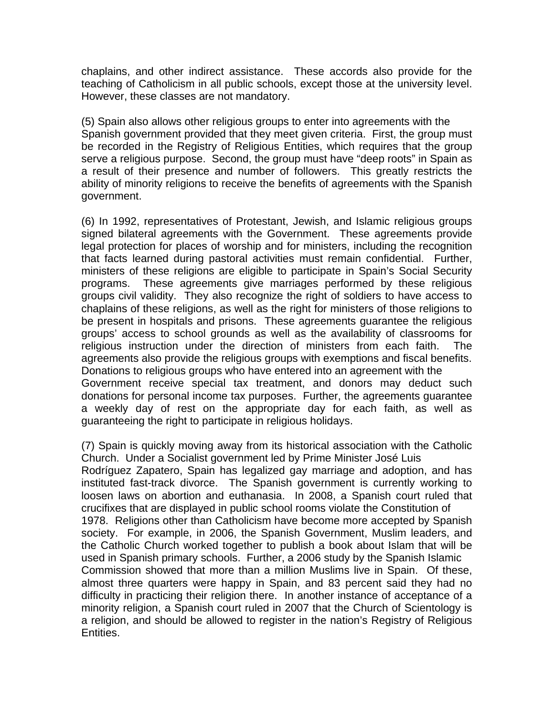chaplains, and other indirect assistance. These accords also provide for the teaching of Catholicism in all public schools, except those at the university level. However, these classes are not mandatory.

(5) Spain also allows other religious groups to enter into agreements with the Spanish government provided that they meet given criteria. First, the group must be recorded in the Registry of Religious Entities, which requires that the group serve a religious purpose. Second, the group must have "deep roots" in Spain as a result of their presence and number of followers. This greatly restricts the ability of minority religions to receive the benefits of agreements with the Spanish government.

(6) In 1992, representatives of Protestant, Jewish, and Islamic religious groups signed bilateral agreements with the Government. These agreements provide legal protection for places of worship and for ministers, including the recognition that facts learned during pastoral activities must remain confidential. Further, ministers of these religions are eligible to participate in Spain's Social Security programs. These agreements give marriages performed by these religious groups civil validity. They also recognize the right of soldiers to have access to chaplains of these religions, as well as the right for ministers of those religions to be present in hospitals and prisons. These agreements guarantee the religious groups' access to school grounds as well as the availability of classrooms for religious instruction under the direction of ministers from each faith. The agreements also provide the religious groups with exemptions and fiscal benefits. Donations to religious groups who have entered into an agreement with the Government receive special tax treatment, and donors may deduct such donations for personal income tax purposes. Further, the agreements guarantee a weekly day of rest on the appropriate day for each faith, as well as guaranteeing the right to participate in religious holidays.

(7) Spain is quickly moving away from its historical association with the Catholic Church. Under a Socialist government led by Prime Minister José Luis

Rodríguez Zapatero, Spain has legalized gay marriage and adoption, and has instituted fast-track divorce. The Spanish government is currently working to loosen laws on abortion and euthanasia. In 2008, a Spanish court ruled that crucifixes that are displayed in public school rooms violate the Constitution of 1978. Religions other than Catholicism have become more accepted by Spanish society. For example, in 2006, the Spanish Government, Muslim leaders, and the Catholic Church worked together to publish a book about Islam that will be used in Spanish primary schools. Further, a 2006 study by the Spanish Islamic Commission showed that more than a million Muslims live in Spain. Of these, almost three quarters were happy in Spain, and 83 percent said they had no difficulty in practicing their religion there. In another instance of acceptance of a minority religion, a Spanish court ruled in 2007 that the Church of Scientology is a religion, and should be allowed to register in the nation's Registry of Religious Entities.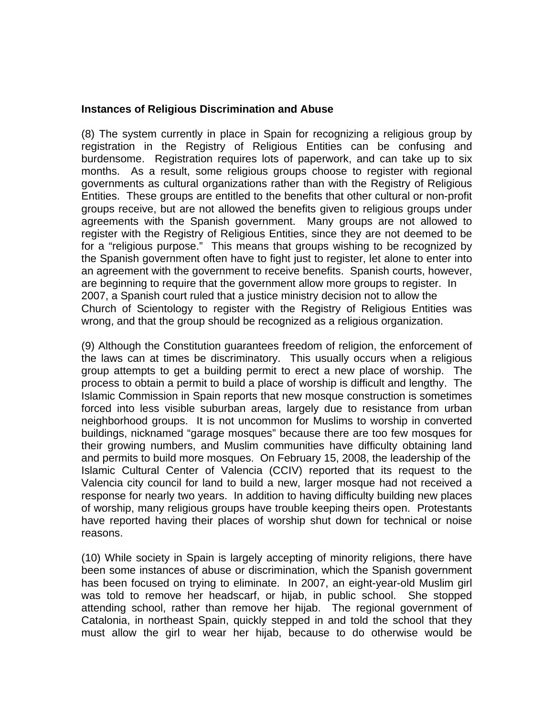#### **Instances of Religious Discrimination and Abuse**

(8) The system currently in place in Spain for recognizing a religious group by registration in the Registry of Religious Entities can be confusing and burdensome. Registration requires lots of paperwork, and can take up to six months. As a result, some religious groups choose to register with regional governments as cultural organizations rather than with the Registry of Religious Entities. These groups are entitled to the benefits that other cultural or non-profit groups receive, but are not allowed the benefits given to religious groups under agreements with the Spanish government. Many groups are not allowed to register with the Registry of Religious Entities, since they are not deemed to be for a "religious purpose." This means that groups wishing to be recognized by the Spanish government often have to fight just to register, let alone to enter into an agreement with the government to receive benefits. Spanish courts, however, are beginning to require that the government allow more groups to register. In 2007, a Spanish court ruled that a justice ministry decision not to allow the Church of Scientology to register with the Registry of Religious Entities was wrong, and that the group should be recognized as a religious organization.

(9) Although the Constitution guarantees freedom of religion, the enforcement of the laws can at times be discriminatory. This usually occurs when a religious group attempts to get a building permit to erect a new place of worship. The process to obtain a permit to build a place of worship is difficult and lengthy. The Islamic Commission in Spain reports that new mosque construction is sometimes forced into less visible suburban areas, largely due to resistance from urban neighborhood groups. It is not uncommon for Muslims to worship in converted buildings, nicknamed "garage mosques" because there are too few mosques for their growing numbers, and Muslim communities have difficulty obtaining land and permits to build more mosques. On February 15, 2008, the leadership of the Islamic Cultural Center of Valencia (CCIV) reported that its request to the Valencia city council for land to build a new, larger mosque had not received a response for nearly two years. In addition to having difficulty building new places of worship, many religious groups have trouble keeping theirs open. Protestants have reported having their places of worship shut down for technical or noise reasons.

(10) While society in Spain is largely accepting of minority religions, there have been some instances of abuse or discrimination, which the Spanish government has been focused on trying to eliminate. In 2007, an eight-year-old Muslim girl was told to remove her headscarf, or hijab, in public school. She stopped attending school, rather than remove her hijab. The regional government of Catalonia, in northeast Spain, quickly stepped in and told the school that they must allow the girl to wear her hijab, because to do otherwise would be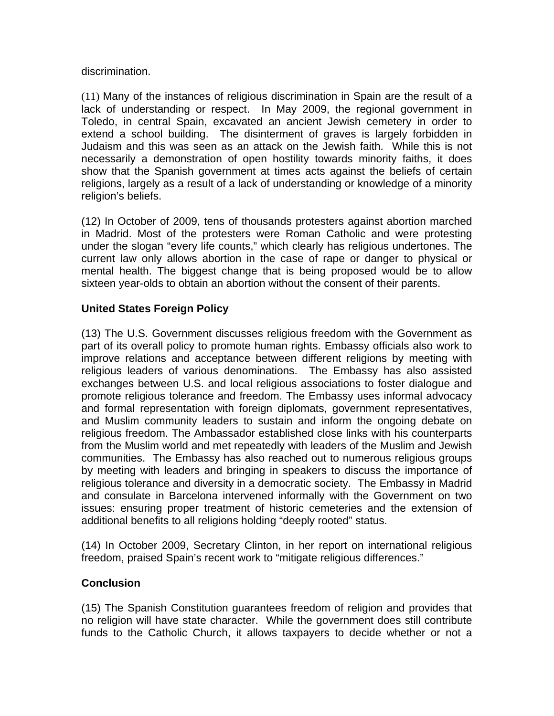#### discrimination.

(11) Many of the instances of religious discrimination in Spain are the result of a lack of understanding or respect. In May 2009, the regional government in Toledo, in central Spain, excavated an ancient Jewish cemetery in order to extend a school building. The disinterment of graves is largely forbidden in Judaism and this was seen as an attack on the Jewish faith. While this is not necessarily a demonstration of open hostility towards minority faiths, it does show that the Spanish government at times acts against the beliefs of certain religions, largely as a result of a lack of understanding or knowledge of a minority religion's beliefs.

(12) In October of 2009, tens of thousands protesters against abortion marched in Madrid. Most of the protesters were Roman Catholic and were protesting under the slogan "every life counts," which clearly has religious undertones. The current law only allows abortion in the case of rape or danger to physical or mental health. The biggest change that is being proposed would be to allow sixteen year-olds to obtain an abortion without the consent of their parents.

## **United States Foreign Policy**

(13) The U.S. Government discusses religious freedom with the Government as part of its overall policy to promote human rights. Embassy officials also work to improve relations and acceptance between different religions by meeting with religious leaders of various denominations. The Embassy has also assisted exchanges between U.S. and local religious associations to foster dialogue and promote religious tolerance and freedom. The Embassy uses informal advocacy and formal representation with foreign diplomats, government representatives, and Muslim community leaders to sustain and inform the ongoing debate on religious freedom. The Ambassador established close links with his counterparts from the Muslim world and met repeatedly with leaders of the Muslim and Jewish communities. The Embassy has also reached out to numerous religious groups by meeting with leaders and bringing in speakers to discuss the importance of religious tolerance and diversity in a democratic society. The Embassy in Madrid and consulate in Barcelona intervened informally with the Government on two issues: ensuring proper treatment of historic cemeteries and the extension of additional benefits to all religions holding "deeply rooted" status.

(14) In October 2009, Secretary Clinton, in her report on international religious freedom, praised Spain's recent work to "mitigate religious differences."

### **Conclusion**

(15) The Spanish Constitution guarantees freedom of religion and provides that no religion will have state character. While the government does still contribute funds to the Catholic Church, it allows taxpayers to decide whether or not a